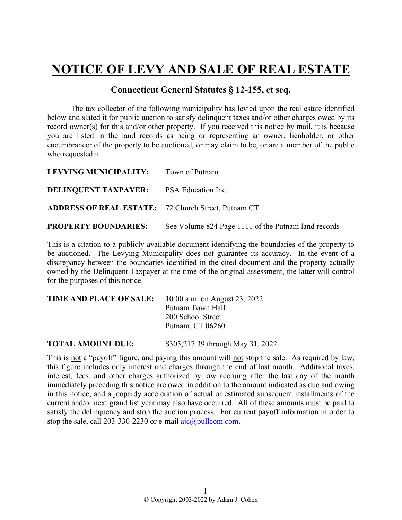## **NOTICE OF LEVY AND SALE OF REAL ESTATE**

## **Connecticut General Statutes § 12-155, et seq.**

The tax collector of the following municipality has levied upon the real estate identified below and slated it for public auction to satisfy delinquent taxes and/or other charges owed by its record owner(s) for this and/or other property. If you received this notice by mail, it is because you are listed in the land records as being or representing an owner, lienholder, or other encumbrancer of the property to be auctioned, or may claim to be, or are a member of the public who requested it.

| LEVYING MUNICIPALITY: Town of Putnam                       |                                                     |
|------------------------------------------------------------|-----------------------------------------------------|
| <b>DELINOUENT TAXPAYER:</b> PSA Education Inc.             |                                                     |
| <b>ADDRESS OF REAL ESTATE:</b> 72 Church Street, Putnam CT |                                                     |
| <b>PROPERTY BOUNDARIES:</b>                                | See Volume 824 Page 1111 of the Putnam land records |

This is a citation to a publicly-available document identifying the boundaries of the property to be auctioned. The Levying Municipality does not guarantee its accuracy. In the event of a discrepancy between the boundaries identified in the cited document and the property actually owned by the Delinquent Taxpayer at the time of the original assessment, the latter will control for the purposes of this notice.

| TIME AND PLACE OF SALE: | 10:00 a.m. on August 23, 2022 |  |
|-------------------------|-------------------------------|--|
|                         | Putnam Town Hall              |  |
|                         | 200 School Street             |  |
|                         | Putnam, CT 06260              |  |
|                         |                               |  |

**TOTAL AMOUNT DUE:** \$305,217.39 through May 31, 2022

This is not a "payoff" figure, and paying this amount will not stop the sale. As required by law, this figure includes only interest and charges through the end of last month. Additional taxes, interest, fees, and other charges authorized by law accruing after the last day of the month immediately preceding this notice are owed in addition to the amount indicated as due and owing in this notice, and a jeopardy acceleration of actual or estimated subsequent installments of the current and/or next grand list year may also have occurred. All of these amounts must be paid to satisfy the delinquency and stop the auction process. For current payoff information in order to stop the sale, call 203-330-2230 or e-mail  $a$ jc $@p$ ullcom.com.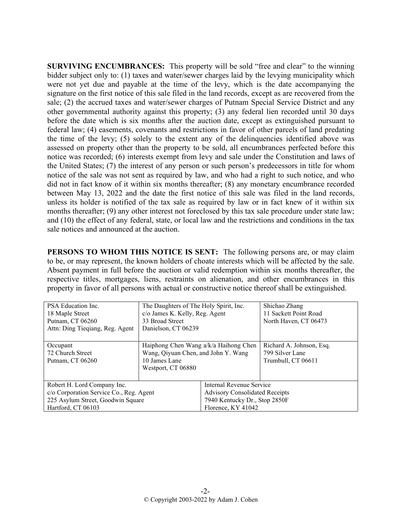**SURVIVING ENCUMBRANCES:** This property will be sold "free and clear" to the winning bidder subject only to: (1) taxes and water/sewer charges laid by the levying municipality which were not yet due and payable at the time of the levy, which is the date accompanying the signature on the first notice of this sale filed in the land records, except as are recovered from the sale; (2) the accrued taxes and water/sewer charges of Putnam Special Service District and any other governmental authority against this property; (3) any federal lien recorded until 30 days before the date which is six months after the auction date, except as extinguished pursuant to federal law; (4) easements, covenants and restrictions in favor of other parcels of land predating the time of the levy; (5) solely to the extent any of the delinquencies identified above was assessed on property other than the property to be sold, all encumbrances perfected before this notice was recorded; (6) interests exempt from levy and sale under the Constitution and laws of the United States; (7) the interest of any person or such person's predecessors in title for whom notice of the sale was not sent as required by law, and who had a right to such notice, and who did not in fact know of it within six months thereafter; (8) any monetary encumbrance recorded between May 13, 2022 and the date the first notice of this sale was filed in the land records, unless its holder is notified of the tax sale as required by law or in fact knew of it within six months thereafter; (9) any other interest not foreclosed by this tax sale procedure under state law; and (10) the effect of any federal, state, or local law and the restrictions and conditions in the tax sale notices and announced at the auction.

**PERSONS TO WHOM THIS NOTICE IS SENT:** The following persons are, or may claim to be, or may represent, the known holders of choate interests which will be affected by the sale. Absent payment in full before the auction or valid redemption within six months thereafter, the respective titles, mortgages, liens, restraints on alienation, and other encumbrances in this property in favor of all persons with actual or constructive notice thereof shall be extinguished.

| PSA Education Inc.                      | The Daughters of The Holy Spirit, Inc. |                                       | Shichao Zhang            |
|-----------------------------------------|----------------------------------------|---------------------------------------|--------------------------|
| 18 Maple Street                         | c/o James K. Kelly, Reg. Agent         |                                       | 11 Sackett Point Road    |
| Putnam, CT 06260                        | 33 Broad Street                        |                                       | North Haven, CT 06473    |
| Attn: Ding Tieqiang, Reg. Agent         | Danielson, CT 06239                    |                                       |                          |
|                                         |                                        |                                       |                          |
| Occupant                                | Haiphong Chen Wang a/k/a Haihong Chen  |                                       | Richard A. Johnson, Esq. |
| 72 Church Street                        | Wang, Qiyuan Chen, and John Y. Wang    |                                       | 799 Silver Lane          |
| Putnam, CT 06260                        | 10 James Lane                          |                                       | Trumbull, CT 06611       |
|                                         | Westport, CT 06880                     |                                       |                          |
|                                         |                                        |                                       |                          |
| Robert H. Lord Company Inc.             |                                        | Internal Revenue Service              |                          |
| c/o Corporation Service Co., Reg. Agent |                                        | <b>Advisory Consolidated Receipts</b> |                          |
| 225 Asylum Street, Goodwin Square       |                                        | 7940 Kentucky Dr., Stop 2850F         |                          |
| Hartford, CT 06103                      |                                        | Florence, KY 41042                    |                          |